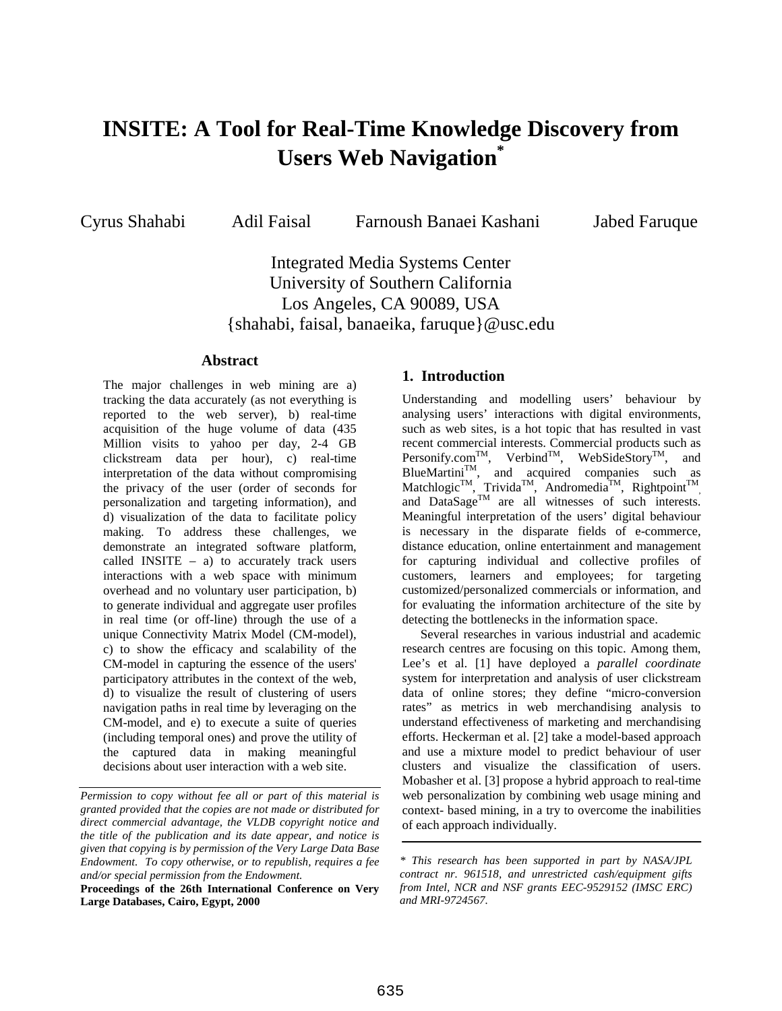# **INSITE: A Tool for Real-Time Knowledge Discovery from Users Web Navigation\***

Cyrus Shahabi Adil Faisal Farnoush Banaei Kashani Jabed Faruque

Integrated Media Systems Center University of Southern California Los Angeles, CA 90089, USA {shahabi, faisal, banaeika, faruque}@usc.edu

#### **Abstract**

The major challenges in web mining are a) tracking the data accurately (as not everything is reported to the web server), b) real-time acquisition of the huge volume of data (435 Million visits to yahoo per day, 2-4 GB clickstream data per hour), c) real-time interpretation of the data without compromising the privacy of the user (order of seconds for personalization and targeting information), and d) visualization of the data to facilitate policy making. To address these challenges, we demonstrate an integrated software platform, called INSITE  $-$  a) to accurately track users interactions with a web space with minimum overhead and no voluntary user participation, b) to generate individual and aggregate user profiles in real time (or off-line) through the use of a unique Connectivity Matrix Model (CM-model), c) to show the efficacy and scalability of the CM-model in capturing the essence of the users' participatory attributes in the context of the web, d) to visualize the result of clustering of users navigation paths in real time by leveraging on the CM-model, and e) to execute a suite of queries (including temporal ones) and prove the utility of the captured data in making meaningful decisions about user interaction with a web site.

**Proceedings of the 26th International Conference on Very Large Databases, Cairo, Egypt, 2000**

### **1. Introduction**

Understanding and modelling users' behaviour by analysing users' interactions with digital environments, such as web sites, is a hot topic that has resulted in vast recent commercial interests. Commercial products such as Personify.com<sup>TM</sup>, Verbind<sup>TM</sup>, WebSideStory<sup>TM</sup>, and  $BlueMartin<sup>TM</sup>$ , and acquired companies such as Matchlogic<sup>TM</sup>, Trivida<sup>TM</sup>, Andromedia<sup>TM</sup>, Rightpoint<sup>TM</sup>, and DataSage<sup>TM</sup> are all witnesses of such interests. Meaningful interpretation of the users' digital behaviour is necessary in the disparate fields of e-commerce, distance education, online entertainment and management for capturing individual and collective profiles of customers, learners and employees; for targeting customized/personalized commercials or information, and for evaluating the information architecture of the site by detecting the bottlenecks in the information space.

Several researches in various industrial and academic research centres are focusing on this topic. Among them, Lee's et al. [1] have deployed a *parallel coordinate* system for interpretation and analysis of user clickstream data of online stores; they define "micro-conversion rates" as metrics in web merchandising analysis to understand effectiveness of marketing and merchandising efforts. Heckerman et al. [2] take a model-based approach and use a mixture model to predict behaviour of user clusters and visualize the classification of users. Mobasher et al. [3] propose a hybrid approach to real-time web personalization by combining web usage mining and context- based mining, in a try to overcome the inabilities of each approach individually.

*Permission to copy without fee all or part of this material is granted provided that the copies are not made or distributed for direct commercial advantage, the VLDB copyright notice and the title of the publication and its date appear, and notice is given that copying is by permission of the Very Large Data Base Endowment. To copy otherwise, or to republish, requires a fee and/or special permission from the Endowment.*

*<sup>\*</sup> This research has been supported in part by NASA/JPL contract nr. 961518, and unrestricted cash/equipment gifts from Intel, NCR and NSF grants EEC-9529152 (IMSC ERC) and MRI-9724567.*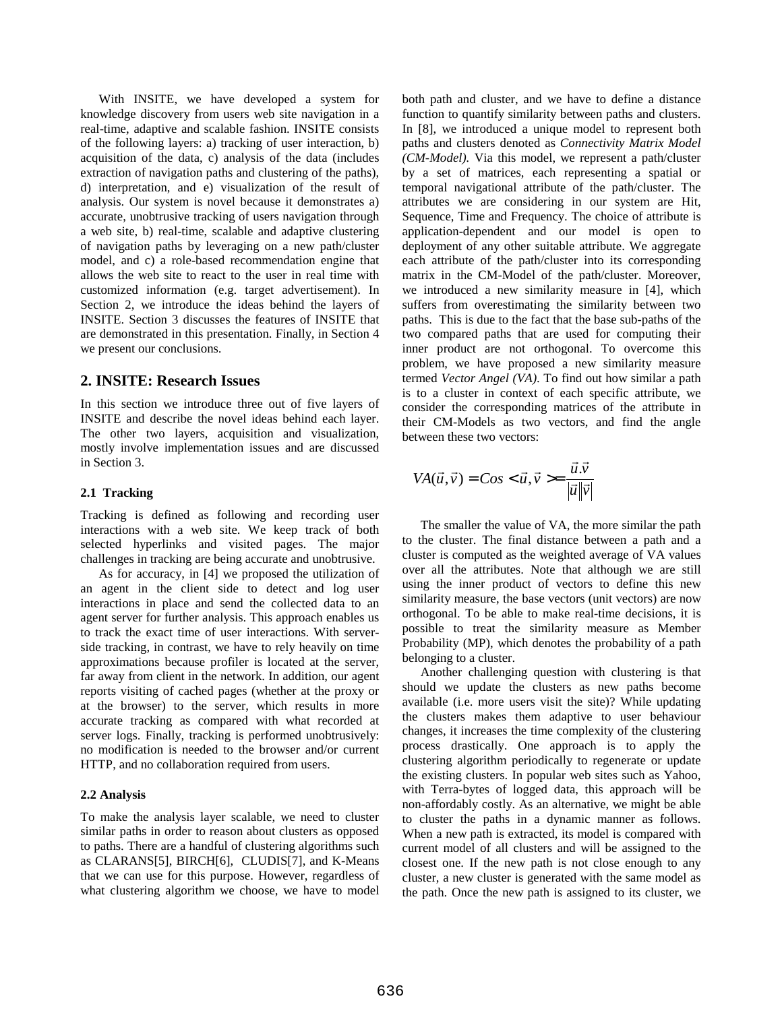With INSITE, we have developed a system for knowledge discovery from users web site navigation in a real-time, adaptive and scalable fashion. INSITE consists of the following layers: a) tracking of user interaction, b) acquisition of the data, c) analysis of the data (includes extraction of navigation paths and clustering of the paths), d) interpretation, and e) visualization of the result of analysis. Our system is novel because it demonstrates a) accurate, unobtrusive tracking of users navigation through a web site, b) real-time, scalable and adaptive clustering of navigation paths by leveraging on a new path/cluster model, and c) a role-based recommendation engine that allows the web site to react to the user in real time with customized information (e.g. target advertisement). In Section 2, we introduce the ideas behind the layers of INSITE. Section 3 discusses the features of INSITE that are demonstrated in this presentation. Finally, in Section 4 we present our conclusions.

#### **2. INSITE: Research Issues**

In this section we introduce three out of five layers of INSITE and describe the novel ideas behind each layer. The other two layers, acquisition and visualization, mostly involve implementation issues and are discussed in Section 3.

#### **2.1 Tracking**

Tracking is defined as following and recording user interactions with a web site. We keep track of both selected hyperlinks and visited pages. The major challenges in tracking are being accurate and unobtrusive.

As for accuracy, in [4] we proposed the utilization of an agent in the client side to detect and log user interactions in place and send the collected data to an agent server for further analysis. This approach enables us to track the exact time of user interactions. With serverside tracking, in contrast, we have to rely heavily on time approximations because profiler is located at the server, far away from client in the network. In addition, our agent reports visiting of cached pages (whether at the proxy or at the browser) to the server, which results in more accurate tracking as compared with what recorded at server logs. Finally, tracking is performed unobtrusively: no modification is needed to the browser and/or current HTTP, and no collaboration required from users.

#### **2.2 Analysis**

To make the analysis layer scalable, we need to cluster similar paths in order to reason about clusters as opposed to paths. There are a handful of clustering algorithms such as CLARANS[5], BIRCH[6], CLUDIS[7], and K-Means that we can use for this purpose. However, regardless of what clustering algorithm we choose, we have to model both path and cluster, and we have to define a distance function to quantify similarity between paths and clusters. In [8], we introduced a unique model to represent both paths and clusters denoted as *Connectivity Matrix Model (CM-Model).* Via this model, we represent a path/cluster by a set of matrices, each representing a spatial or temporal navigational attribute of the path/cluster. The attributes we are considering in our system are Hit, Sequence, Time and Frequency. The choice of attribute is application-dependent and our model is open to deployment of any other suitable attribute. We aggregate each attribute of the path/cluster into its corresponding matrix in the CM-Model of the path/cluster. Moreover, we introduced a new similarity measure in [4], which suffers from overestimating the similarity between two paths. This is due to the fact that the base sub-paths of the two compared paths that are used for computing their inner product are not orthogonal. To overcome this problem, we have proposed a new similarity measure termed *Vector Angel (VA)*. To find out how similar a path is to a cluster in context of each specific attribute, we consider the corresponding matrices of the attribute in their CM-Models as two vectors, and find the angle between these two vectors:

$$
VA(\vec{u}, \vec{v}) = Cos < \vec{u}, \vec{v} > = \frac{\vec{u} \cdot \vec{v}}{|\vec{u}||\vec{v}|}
$$

The smaller the value of VA, the more similar the path to the cluster. The final distance between a path and a cluster is computed as the weighted average of VA values over all the attributes. Note that although we are still using the inner product of vectors to define this new similarity measure, the base vectors (unit vectors) are now orthogonal. To be able to make real-time decisions, it is possible to treat the similarity measure as Member Probability (MP), which denotes the probability of a path belonging to a cluster.

Another challenging question with clustering is that should we update the clusters as new paths become available (i.e. more users visit the site)? While updating the clusters makes them adaptive to user behaviour changes, it increases the time complexity of the clustering process drastically. One approach is to apply the clustering algorithm periodically to regenerate or update the existing clusters. In popular web sites such as Yahoo, with Terra-bytes of logged data, this approach will be non-affordably costly. As an alternative, we might be able to cluster the paths in a dynamic manner as follows. When a new path is extracted, its model is compared with current model of all clusters and will be assigned to the closest one. If the new path is not close enough to any cluster, a new cluster is generated with the same model as the path. Once the new path is assigned to its cluster, we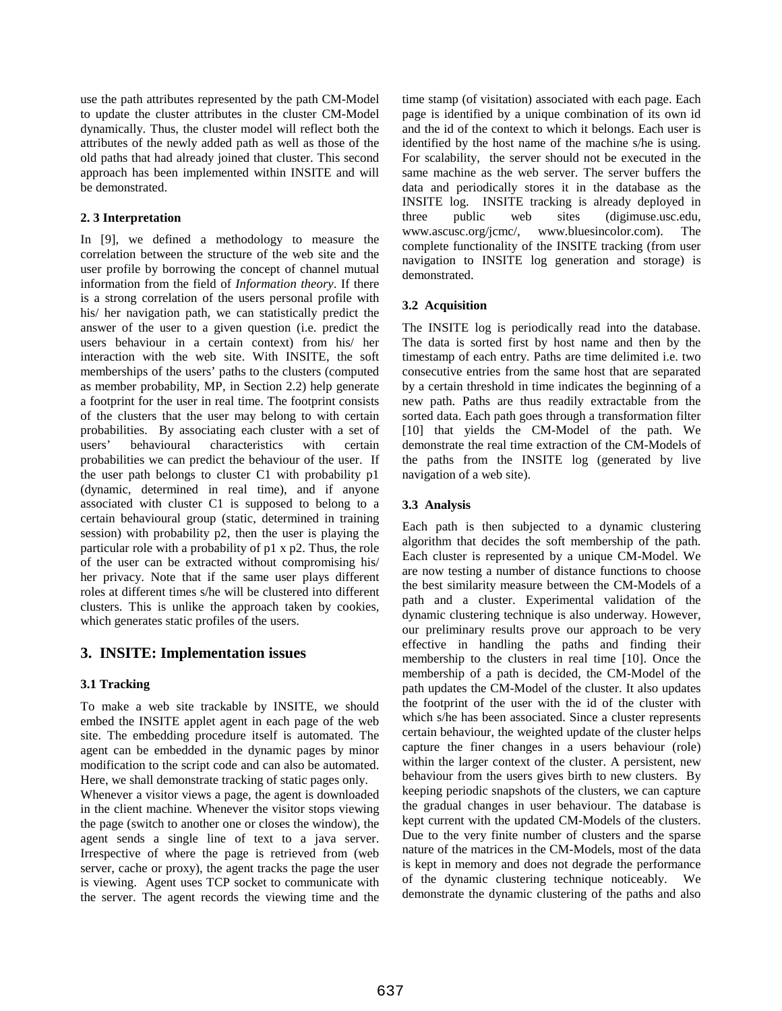use the path attributes represented by the path CM-Model to update the cluster attributes in the cluster CM-Model dynamically. Thus, the cluster model will reflect both the attributes of the newly added path as well as those of the old paths that had already joined that cluster. This second approach has been implemented within INSITE and will be demonstrated.

## **2. 3 Interpretation**

In [9], we defined a methodology to measure the correlation between the structure of the web site and the user profile by borrowing the concept of channel mutual information from the field of *Information theory*. If there is a strong correlation of the users personal profile with his/ her navigation path, we can statistically predict the answer of the user to a given question (i.e. predict the users behaviour in a certain context) from his/ her interaction with the web site. With INSITE, the soft memberships of the users' paths to the clusters (computed as member probability, MP, in Section 2.2) help generate a footprint for the user in real time. The footprint consists of the clusters that the user may belong to with certain probabilities. By associating each cluster with a set of users' behavioural characteristics with certain probabilities we can predict the behaviour of the user. If the user path belongs to cluster C1 with probability p1 (dynamic, determined in real time), and if anyone associated with cluster C1 is supposed to belong to a certain behavioural group (static, determined in training session) with probability p2, then the user is playing the particular role with a probability of p1 x p2. Thus, the role of the user can be extracted without compromising his/ her privacy. Note that if the same user plays different roles at different times s/he will be clustered into different clusters. This is unlike the approach taken by cookies, which generates static profiles of the users.

# **3. INSITE: Implementation issues**

# **3.1 Tracking**

To make a web site trackable by INSITE, we should embed the INSITE applet agent in each page of the web site. The embedding procedure itself is automated. The agent can be embedded in the dynamic pages by minor modification to the script code and can also be automated. Here, we shall demonstrate tracking of static pages only.

Whenever a visitor views a page, the agent is downloaded in the client machine. Whenever the visitor stops viewing the page (switch to another one or closes the window), the agent sends a single line of text to a java server. Irrespective of where the page is retrieved from (web server, cache or proxy), the agent tracks the page the user is viewing. Agent uses TCP socket to communicate with the server. The agent records the viewing time and the time stamp (of visitation) associated with each page. Each page is identified by a unique combination of its own id and the id of the context to which it belongs. Each user is identified by the host name of the machine s/he is using. For scalability, the server should not be executed in the same machine as the web server. The server buffers the data and periodically stores it in the database as the INSITE log. INSITE tracking is already deployed in three public web sites (digimuse.usc.edu, www.ascusc.org/jcmc/, www.bluesincolor.com). The complete functionality of the INSITE tracking (from user navigation to INSITE log generation and storage) is demonstrated.

## **3.2 Acquisition**

The INSITE log is periodically read into the database. The data is sorted first by host name and then by the timestamp of each entry. Paths are time delimited i.e. two consecutive entries from the same host that are separated by a certain threshold in time indicates the beginning of a new path. Paths are thus readily extractable from the sorted data. Each path goes through a transformation filter [10] that yields the CM-Model of the path. We demonstrate the real time extraction of the CM-Models of the paths from the INSITE log (generated by live navigation of a web site).

## **3.3 Analysis**

Each path is then subjected to a dynamic clustering algorithm that decides the soft membership of the path. Each cluster is represented by a unique CM-Model. We are now testing a number of distance functions to choose the best similarity measure between the CM-Models of a path and a cluster. Experimental validation of the dynamic clustering technique is also underway. However, our preliminary results prove our approach to be very effective in handling the paths and finding their membership to the clusters in real time [10]. Once the membership of a path is decided, the CM-Model of the path updates the CM-Model of the cluster. It also updates the footprint of the user with the id of the cluster with which s/he has been associated. Since a cluster represents certain behaviour, the weighted update of the cluster helps capture the finer changes in a users behaviour (role) within the larger context of the cluster. A persistent, new behaviour from the users gives birth to new clusters. By keeping periodic snapshots of the clusters, we can capture the gradual changes in user behaviour. The database is kept current with the updated CM-Models of the clusters. Due to the very finite number of clusters and the sparse nature of the matrices in the CM-Models, most of the data is kept in memory and does not degrade the performance of the dynamic clustering technique noticeably. We demonstrate the dynamic clustering of the paths and also